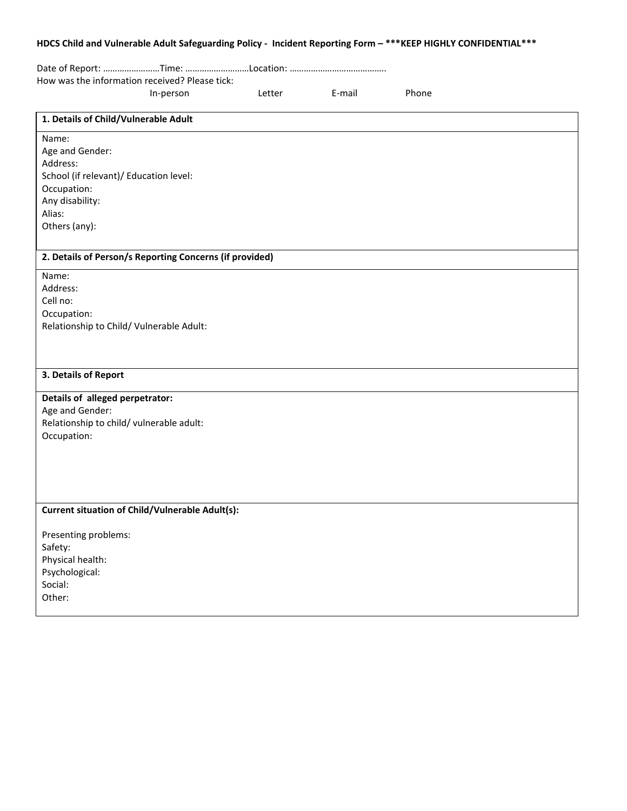## **HDCS Child and Vulnerable Adult Safeguarding Policy - Incident Reporting Form – \*\*\*KEEP HIGHLY CONFIDENTIAL\*\*\***

|                                          | How was the information received? Please tick:          |        |        |       |  |
|------------------------------------------|---------------------------------------------------------|--------|--------|-------|--|
|                                          | In-person                                               | Letter | E-mail | Phone |  |
| 1. Details of Child/Vulnerable Adult     |                                                         |        |        |       |  |
| Name:                                    |                                                         |        |        |       |  |
| Age and Gender:                          |                                                         |        |        |       |  |
| Address:                                 |                                                         |        |        |       |  |
| School (if relevant)/ Education level:   |                                                         |        |        |       |  |
| Occupation:<br>Any disability:           |                                                         |        |        |       |  |
| Alias:                                   |                                                         |        |        |       |  |
| Others (any):                            |                                                         |        |        |       |  |
|                                          |                                                         |        |        |       |  |
|                                          | 2. Details of Person/s Reporting Concerns (if provided) |        |        |       |  |
| Name:                                    |                                                         |        |        |       |  |
| Address:                                 |                                                         |        |        |       |  |
| Cell no:                                 |                                                         |        |        |       |  |
| Occupation:                              |                                                         |        |        |       |  |
| Relationship to Child/ Vulnerable Adult: |                                                         |        |        |       |  |
|                                          |                                                         |        |        |       |  |
|                                          |                                                         |        |        |       |  |
| 3. Details of Report                     |                                                         |        |        |       |  |
| Details of alleged perpetrator:          |                                                         |        |        |       |  |
| Age and Gender:                          |                                                         |        |        |       |  |
| Relationship to child/vulnerable adult:  |                                                         |        |        |       |  |
| Occupation:                              |                                                         |        |        |       |  |
|                                          |                                                         |        |        |       |  |
|                                          |                                                         |        |        |       |  |
|                                          |                                                         |        |        |       |  |
|                                          | <b>Current situation of Child/Vulnerable Adult(s):</b>  |        |        |       |  |
|                                          |                                                         |        |        |       |  |
| Presenting problems:                     |                                                         |        |        |       |  |
| Safety:                                  |                                                         |        |        |       |  |
| Physical health:                         |                                                         |        |        |       |  |
| Psychological:                           |                                                         |        |        |       |  |
| Social:                                  |                                                         |        |        |       |  |
| Other:                                   |                                                         |        |        |       |  |
|                                          |                                                         |        |        |       |  |